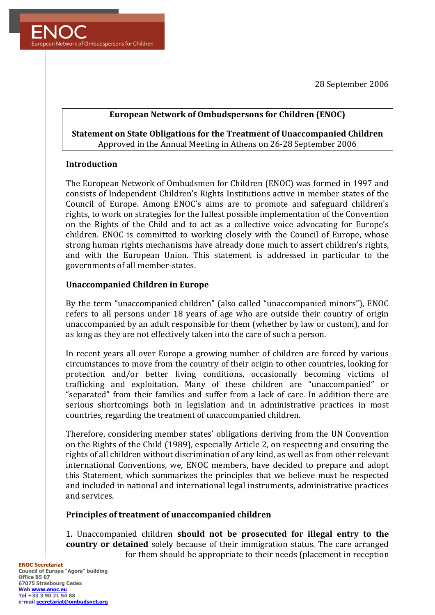28 September 2006



## **European Network of Ombudspersons for Children (ENOC)**

# **Statement on State Obligations for the Treatment of Unaccompanied Children** Approved in the Annual Meeting in Athens on 26-28 September 2006

## **Introduction**

The European Network of Ombudsmen for Children (ENOC) was formed in 1997 and consists of Independent Children's Rights Institutions active in member states of the Council of Europe. Among ENOC's aims are to promote and safeguard children's rights, to work on strategies for the fullest possible implementation of the Convention on the Rights of the Child and to act as a collective voice advocating for Europe's children. ENOC is committed to working closely with the Council of Europe, whose strong human rights mechanisms have already done much to assert children's rights, and with the European Union. This statement is addressed in particular to the governments of all member-states.

### **Unaccompanied Children in Europe**

By the term "unaccompanied children" (also called "unaccompanied minors"), ENOC refers to all persons under 18 years of age who are outside their country of origin unaccompanied by an adult responsible for them (whether by law or custom), and for as long as they are not effectively taken into the care of such a person.

In recent years all over Europe a growing number of children are forced by various circumstances to move from the country of their origin to other countries, looking for protection and/or better living conditions, occasionally becoming victims of trafficking and exploitation. Many of these children are "unaccompanied" or "separated" from their families and suffer from a lack of care. In addition there are serious shortcomings both in legislation and in administrative practices in most countries, regarding the treatment of unaccompanied children.

Therefore, considering member states' obligations deriving from the UN Convention on the Rights of the Child  $(1989)$ , especially Article 2, on respecting and ensuring the rights of all children without discrimination of any kind, as well as from other relevant international Conventions, we, ENOC members, have decided to prepare and adopt this Statement, which summarizes the principles that we believe must be respected and included in national and international legal instruments, administrative practices and services.

## **Principles of treatment of unaccompanied children**

1. Unaccompanied children **should not be prosecuted for illegal entry to the country or detained** solely because of their immigration status. The care arranged for them should be appropriate to their needs (placement in reception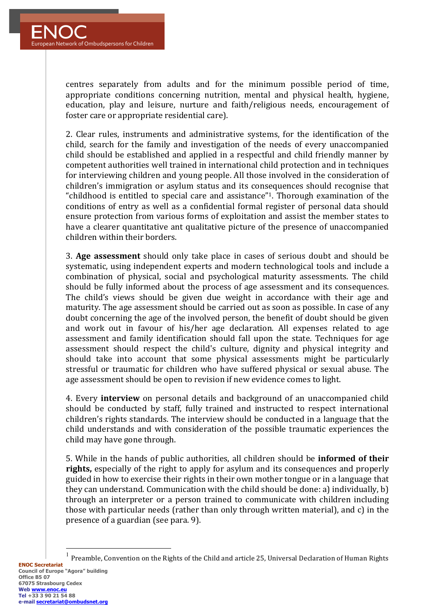centres separately from adults and for the minimum possible period of time, appropriate conditions concerning nutrition, mental and physical health, hygiene, education, play and leisure, nurture and faith/religious needs, encouragement of foster care or appropriate residential care).

2. Clear rules, instruments and administrative systems, for the identification of the child, search for the family and investigation of the needs of every unaccompanied child should be established and applied in a respectful and child friendly manner by competent authorities well trained in international child protection and in techniques for interviewing children and young people. All those involved in the consideration of children's immigration or asylum status and its consequences should recognise that "childhood is entitled to special care and assistance"<sup>1</sup>. Thorough examination of the conditions of entry as well as a confidential formal register of personal data should ensure protection from various forms of exploitation and assist the member states to have a clearer quantitative ant qualitative picture of the presence of unaccompanied children within their borders.

**3. Age assessment** should only take place in cases of serious doubt and should be systematic, using independent experts and modern technological tools and include a combination of physical, social and psychological maturity assessments. The child should be fully informed about the process of age assessment and its consequences. The child's views should be given due weight in accordance with their age and maturity. The age assessment should be carried out as soon as possible. In case of any doubt concerning the age of the involved person, the benefit of doubt should be given and work out in favour of his/her age declaration. All expenses related to age assessment and family identification should fall upon the state. Techniques for age assessment should respect the child's culture, dignity and physical integrity and should take into account that some physical assessments might be particularly stressful or traumatic for children who have suffered physical or sexual abuse. The age assessment should be open to revision if new evidence comes to light.

4. Every **interview** on personal details and background of an unaccompanied child should be conducted by staff, fully trained and instructed to respect international children's rights standards. The interview should be conducted in a language that the child understands and with consideration of the possible traumatic experiences the child may have gone through.

5. While in the hands of public authorities, all children should be **informed of their rights,** especially of the right to apply for asylum and its consequences and properly guided in how to exercise their rights in their own mother tongue or in a language that they can understand. Communication with the child should be done: a) individually, b) through an interpreter or a person trained to communicate with children including those with particular needs (rather than only through written material), and  $c$ ) in the presence of a guardian (see para. 9).

Preamble, Convention on the Rights of the Child and article 25, Universal Declaration of Human Rights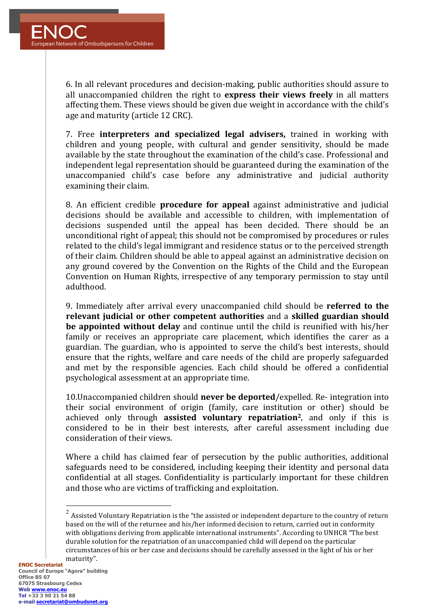6. In all relevant procedures and decision-making, public authorities should assure to all unaccompanied children the right to **express their views freely** in all matters affecting them. These views should be given due weight in accordance with the child's age and maturity (article 12 CRC).

7. Free **interpreters and specialized legal advisers**, trained in working with children and young people, with cultural and gender sensitivity, should be made available by the state throughout the examination of the child's case. Professional and independent legal representation should be guaranteed during the examination of the unaccompanied child's case before any administrative and judicial authority examining their claim.

8. An efficient credible **procedure for appeal** against administrative and judicial decisions should be available and accessible to children, with implementation of decisions suspended until the appeal has been decided. There should be an unconditional right of appeal; this should not be compromised by procedures or rules related to the child's legal immigrant and residence status or to the perceived strength of their claim. Children should be able to appeal against an administrative decision on any ground covered by the Convention on the Rights of the Child and the European Convention on Human Rights, irrespective of any temporary permission to stay until adulthood.

9. Immediately after arrival every unaccompanied child should be **referred to the relevant iudicial or other competent authorities** and a skilled guardian should **be appointed without delay** and continue until the child is reunified with his/her family or receives an appropriate care placement, which identifies the carer as a guardian. The guardian, who is appointed to serve the child's best interests, should ensure that the rights, welfare and care needs of the child are properly safeguarded and met by the responsible agencies. Each child should be offered a confidential psychological assessment at an appropriate time.

10. Unaccompanied children should **never be deported**/expelled. Re- integration into their social environment of origin (family, care institution or other) should be achieved only through **assisted voluntary repatriation**<sup>2</sup>, and only if this is considered to be in their best interests, after careful assessment including due consideration of their views.

Where a child has claimed fear of persecution by the public authorities, additional safeguards need to be considered, including keeping their identity and personal data confidential at all stages. Confidentiality is particularly important for these children and those who are victims of trafficking and exploitation.

 $2$  Assisted Voluntary Repatriation is the "the assisted or independent departure to the country of return based on the will of the returnee and his/her informed decision to return, carried out in conformity with obligations deriving from applicable international instruments". According to UNHCR "The best durable solution for the repatriation of an unaccompanied child will depend on the particular circumstances of his or her case and decisions should be carefully assessed in the light of his or her maturity".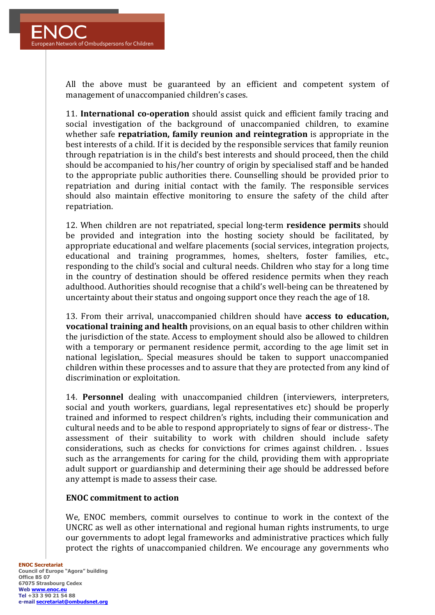

All the above must be guaranteed by an efficient and competent system of management of unaccompanied children's cases.

11. **International co-operation** should assist quick and efficient family tracing and social investigation of the background of unaccompanied children, to examine whether safe **repatriation, family reunion and reintegration** is appropriate in the best interests of a child. If it is decided by the responsible services that family reunion through repatriation is in the child's best interests and should proceed, then the child should be accompanied to his/her country of origin by specialised staff and be handed to the appropriate public authorities there. Counselling should be provided prior to repatriation and during initial contact with the family. The responsible services should also maintain effective monitoring to ensure the safety of the child after repatriation.

12. When children are not repatriated, special long-term **residence permits** should be provided and integration into the hosting society should be facilitated, by appropriate educational and welfare placements (social services, integration projects, educational and training programmes, homes, shelters, foster families, etc., responding to the child's social and cultural needs. Children who stay for a long time in the country of destination should be offered residence permits when they reach adulthood. Authorities should recognise that a child's well-being can be threatened by uncertainty about their status and ongoing support once they reach the age of 18.

13. From their arrival, unaccompanied children should have **access to education**, **vocational training and health** provisions, on an equal basis to other children within the jurisdiction of the state. Access to employment should also be allowed to children with a temporary or permanent residence permit, according to the age limit set in national legislation,. Special measures should be taken to support unaccompanied children within these processes and to assure that they are protected from any kind of discrimination or exploitation.

14. **Personnel** dealing with unaccompanied children (interviewers, interpreters, social and youth workers, guardians, legal representatives etc) should be properly trained and informed to respect children's rights, including their communication and cultural needs and to be able to respond appropriately to signs of fear or distress-. The assessment of their suitability to work with children should include safety considerations, such as checks for convictions for crimes against children. . Issues such as the arrangements for caring for the child, providing them with appropriate adult support or guardianship and determining their age should be addressed before any attempt is made to assess their case.

## **ENOC** commitment to action

We, ENOC members, commit ourselves to continue to work in the context of the UNCRC as well as other international and regional human rights instruments, to urge our governments to adopt legal frameworks and administrative practices which fully protect the rights of unaccompanied children. We encourage any governments who